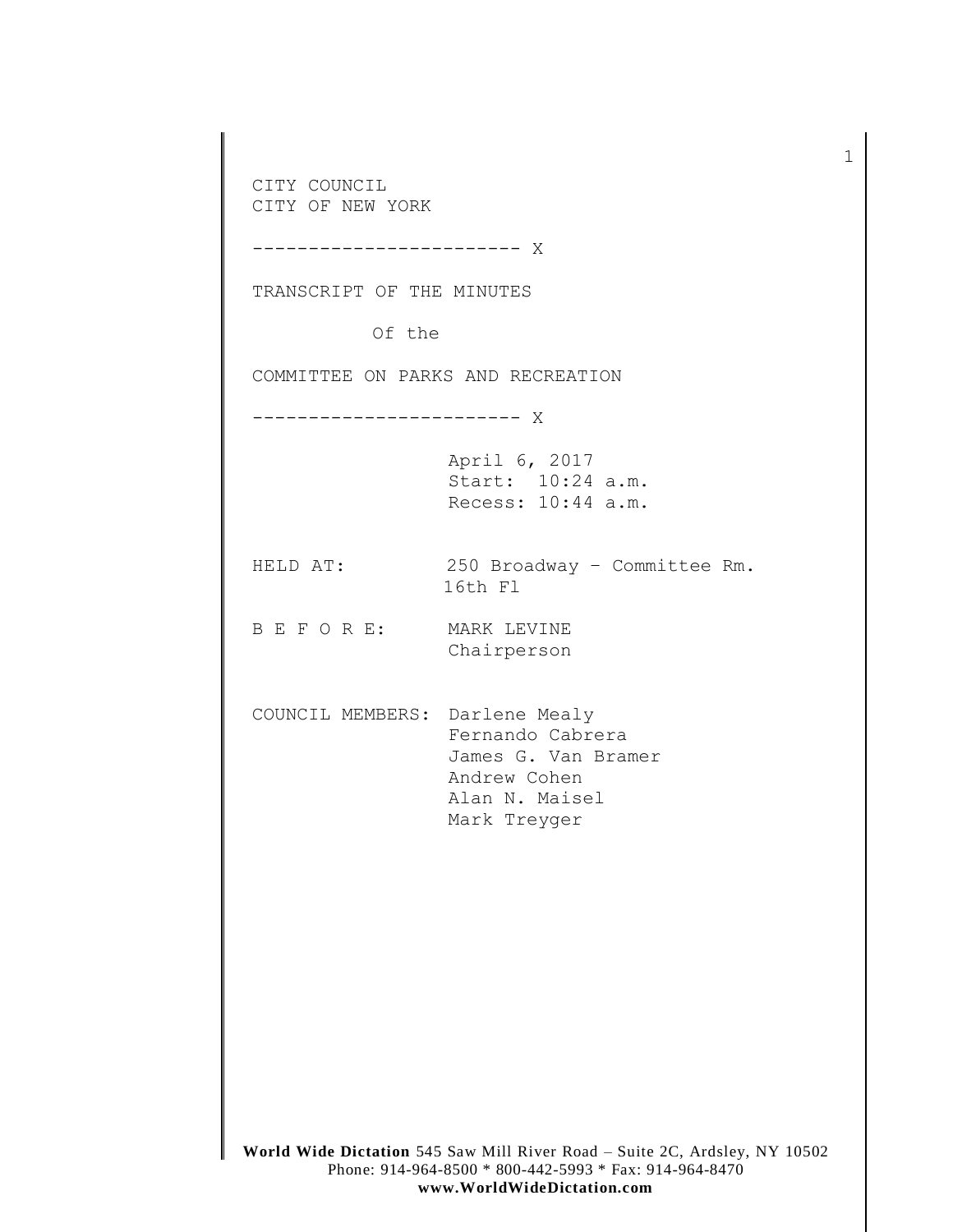**World Wide Dictation** 545 Saw Mill River Road – Suite 2C, Ardsley, NY 10502 CITY COUNCIL CITY OF NEW YORK ------------------------ X TRANSCRIPT OF THE MINUTES Of the COMMITTEE ON PARKS AND RECREATION ------------------------ X April 6, 2017 Start: 10:24 a.m. Recess: 10:44 a.m. HELD AT: 250 Broadway – Committee Rm. 16th Fl B E F O R E: MARK LEVINE Chairperson COUNCIL MEMBERS: Darlene Mealy Fernando Cabrera James G. Van Bramer Andrew Cohen Alan N. Maisel Mark Treyger

1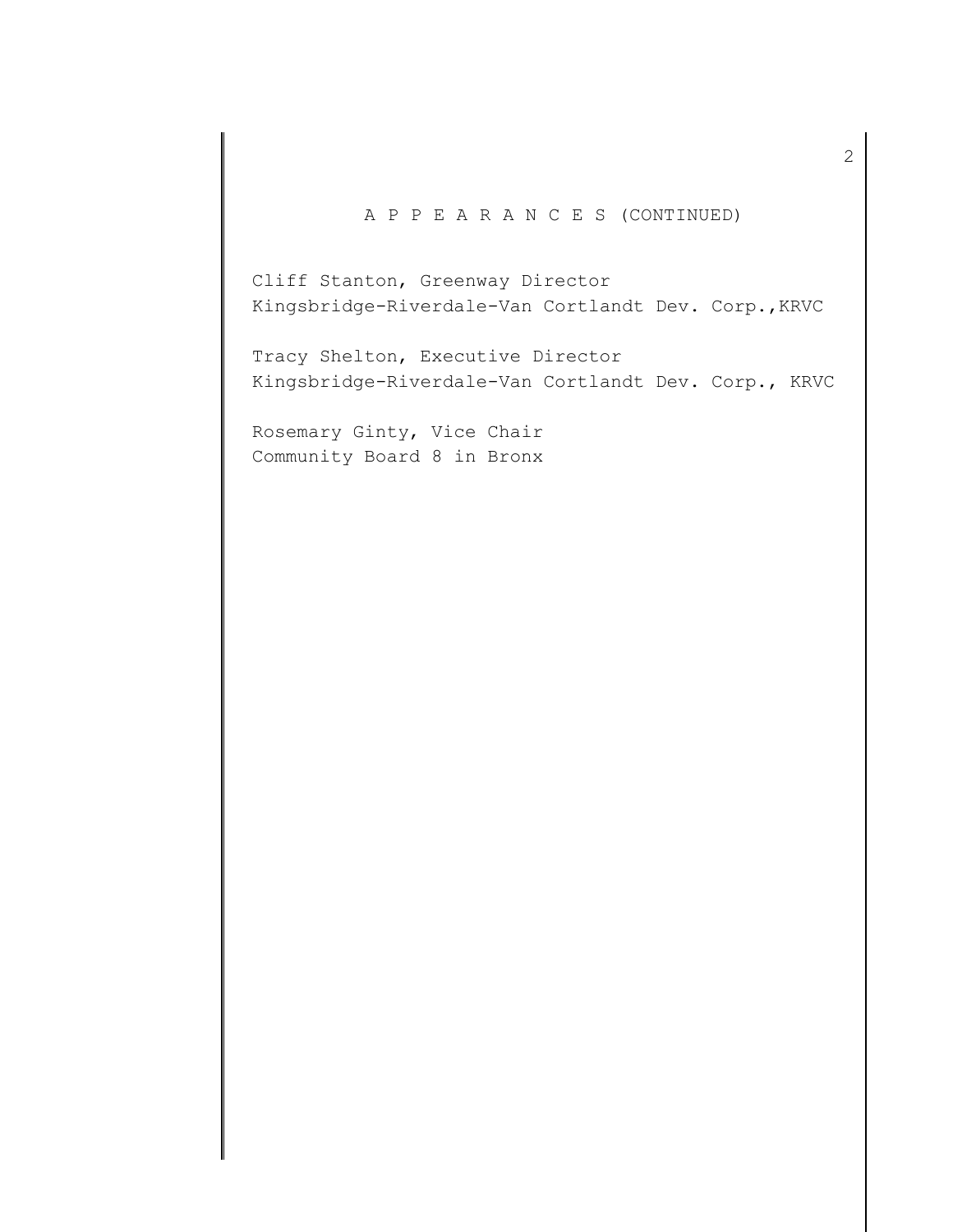## A P P E A R A N C E S (CONTINUED)

Cliff Stanton, Greenway Director Kingsbridge-Riverdale-Van Cortlandt Dev. Corp.,KRVC

Tracy Shelton, Executive Director Kingsbridge-Riverdale-Van Cortlandt Dev. Corp., KRVC

Rosemary Ginty, Vice Chair Community Board 8 in Bronx 2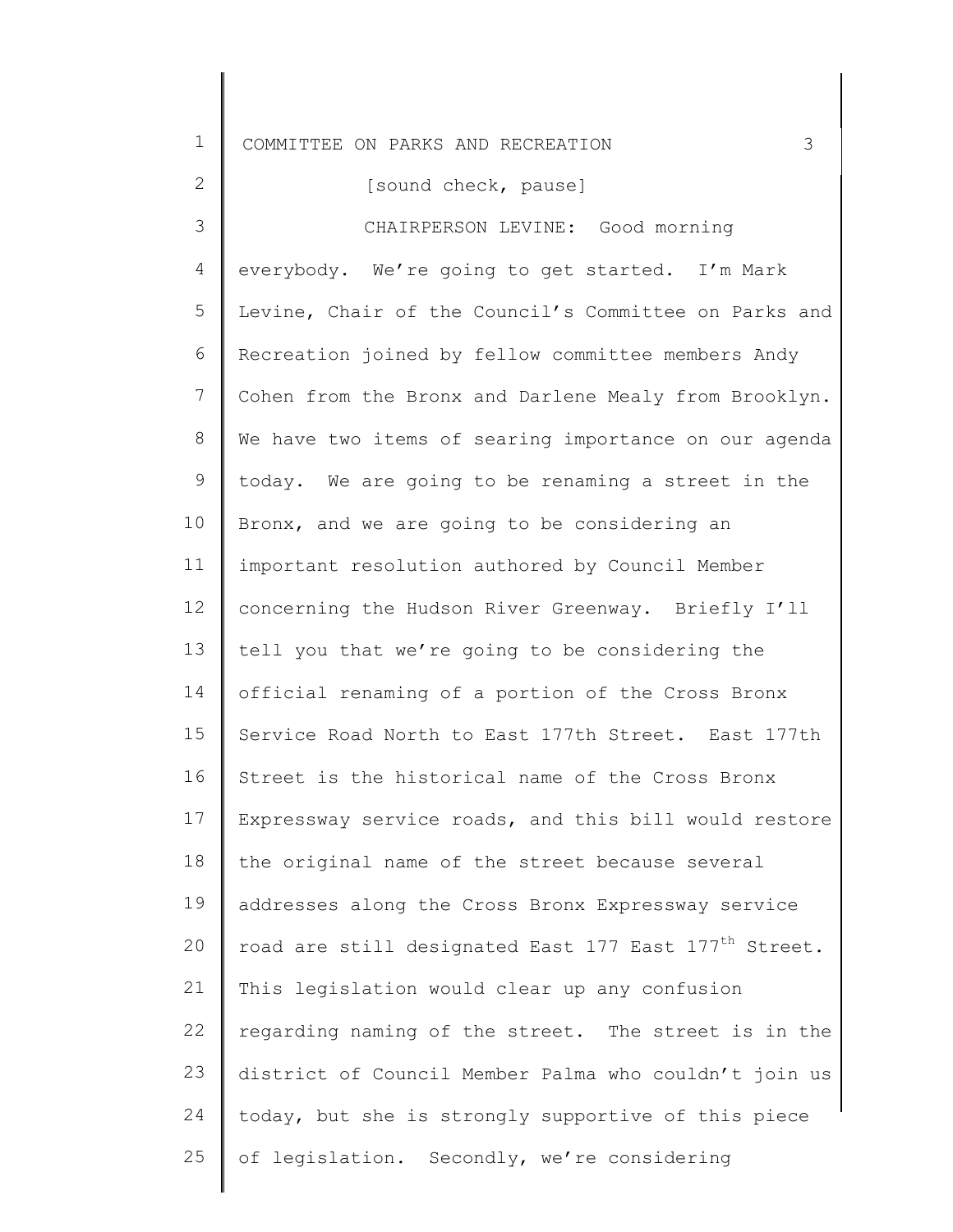| $\mathbf 1$     | 3<br>COMMITTEE ON PARKS AND RECREATION                            |
|-----------------|-------------------------------------------------------------------|
| 2               | [sound check, pause]                                              |
| 3               | CHAIRPERSON LEVINE: Good morning                                  |
| 4               | everybody. We're going to get started. I'm Mark                   |
| 5               | Levine, Chair of the Council's Committee on Parks and             |
| 6               | Recreation joined by fellow committee members Andy                |
| $7\phantom{.0}$ | Cohen from the Bronx and Darlene Mealy from Brooklyn.             |
| 8               | We have two items of searing importance on our agenda             |
| 9               | today. We are going to be renaming a street in the                |
| 10              | Bronx, and we are going to be considering an                      |
| 11              | important resolution authored by Council Member                   |
| 12              | concerning the Hudson River Greenway. Briefly I'll                |
| 13              | tell you that we're going to be considering the                   |
| 14              | official renaming of a portion of the Cross Bronx                 |
| 15              | Service Road North to East 177th Street. East 177th               |
| 16              | Street is the historical name of the Cross Bronx                  |
| 17              | Expressway service roads, and this bill would restore             |
| 18              | the original name of the street because several                   |
| 19              | addresses along the Cross Bronx Expressway service                |
| 20              | road are still designated East 177 East 177 <sup>th</sup> Street. |
| 21              | This legislation would clear up any confusion                     |
| 22              | regarding naming of the street. The street is in the              |
| 23              | district of Council Member Palma who couldn't join us             |
| 24              | today, but she is strongly supportive of this piece               |
| 25              | of legislation. Secondly, we're considering                       |
|                 |                                                                   |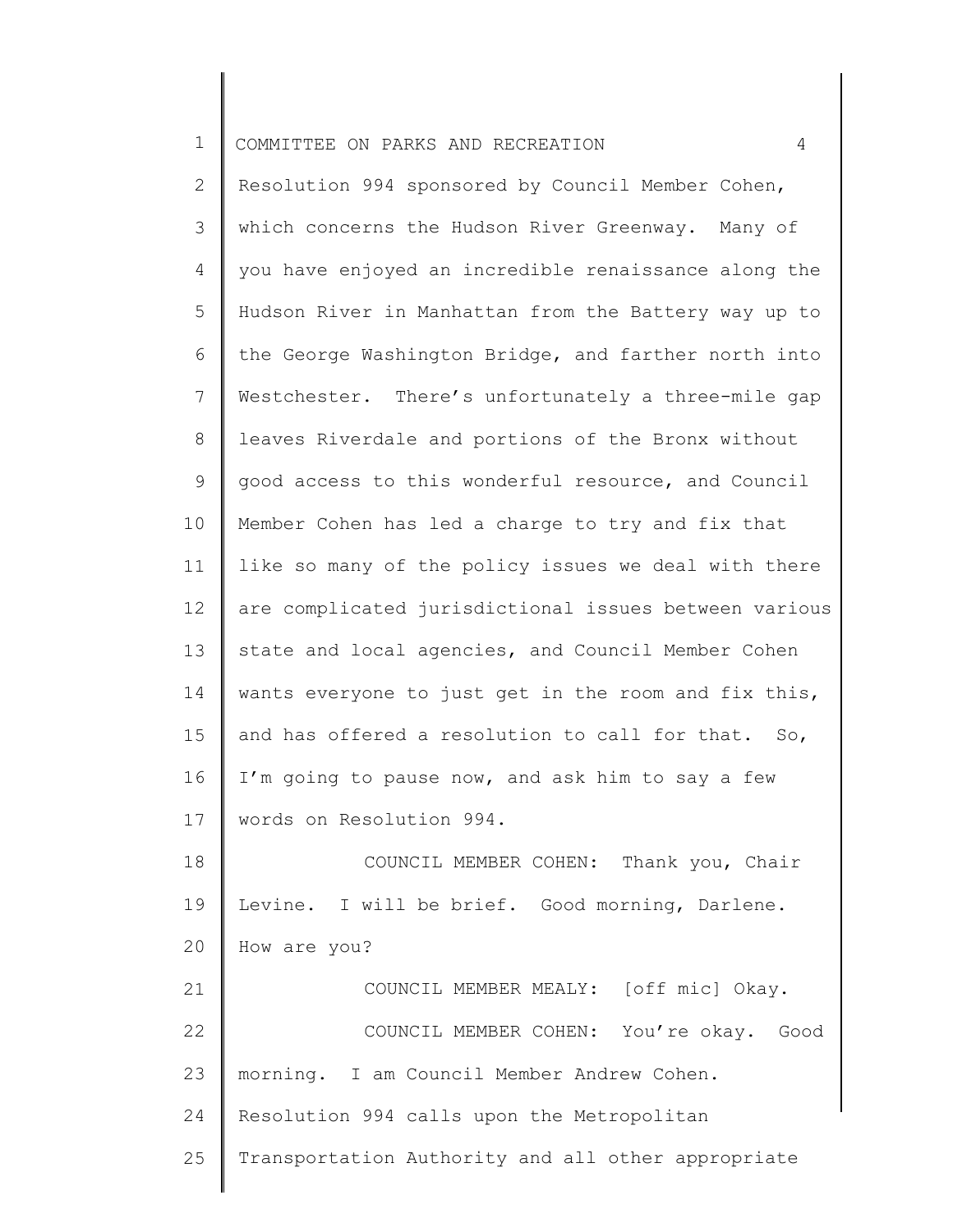| $\mathbf 1$     | COMMITTEE ON PARKS AND RECREATION<br>4                |
|-----------------|-------------------------------------------------------|
| $\overline{2}$  | Resolution 994 sponsored by Council Member Cohen,     |
| 3               | which concerns the Hudson River Greenway. Many of     |
| 4               | you have enjoyed an incredible renaissance along the  |
| 5               | Hudson River in Manhattan from the Battery way up to  |
| 6               | the George Washington Bridge, and farther north into  |
| $\overline{7}$  | Westchester. There's unfortunately a three-mile gap   |
| $8\,$           | leaves Riverdale and portions of the Bronx without    |
| 9               | good access to this wonderful resource, and Council   |
| 10              | Member Cohen has led a charge to try and fix that     |
| 11              | like so many of the policy issues we deal with there  |
| 12 <sup>°</sup> | are complicated jurisdictional issues between various |
| 13              | state and local agencies, and Council Member Cohen    |
| 14              | wants everyone to just get in the room and fix this,  |
| 15              | and has offered a resolution to call for that. So,    |
| 16              | I'm going to pause now, and ask him to say a few      |
| 17              | words on Resolution 994.                              |
| 18              | COUNCIL MEMBER COHEN: Thank you, Chair                |
| 19              | Levine. I will be brief. Good morning, Darlene.       |
| 20              | How are you?                                          |
| 21              | COUNCIL MEMBER MEALY: [off mic] Okay.                 |
| 22              | COUNCIL MEMBER COHEN: You're okay. Good               |
| 23              | morning. I am Council Member Andrew Cohen.            |
| 24              | Resolution 994 calls upon the Metropolitan            |

25 Transportation Authority and all other appropriate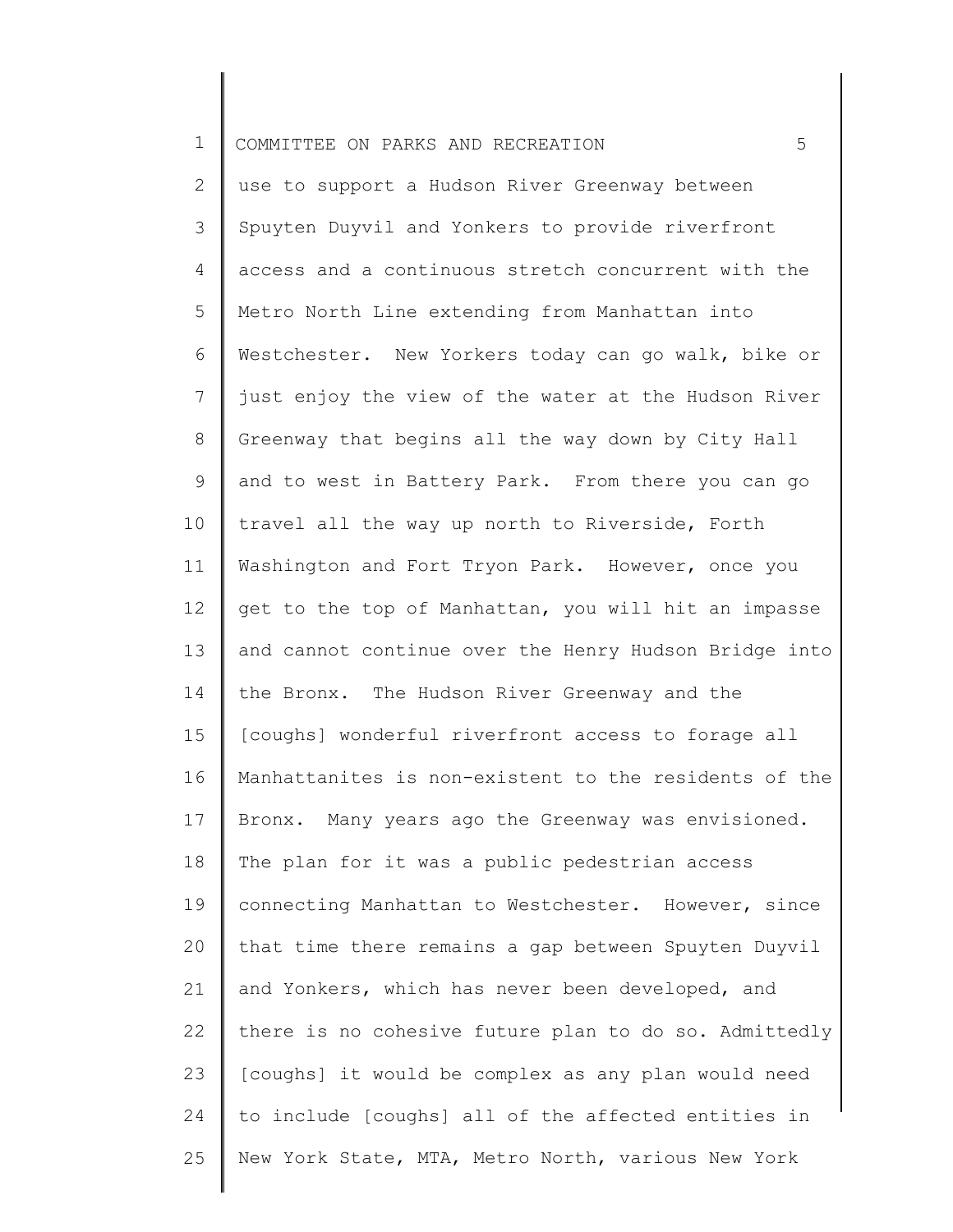| $\mathbf 1$ | 5<br>COMMITTEE ON PARKS AND RECREATION                |
|-------------|-------------------------------------------------------|
| 2           | use to support a Hudson River Greenway between        |
| 3           | Spuyten Duyvil and Yonkers to provide riverfront      |
| 4           | access and a continuous stretch concurrent with the   |
| 5           | Metro North Line extending from Manhattan into        |
| 6           | Westchester. New Yorkers today can go walk, bike or   |
| 7           | just enjoy the view of the water at the Hudson River  |
| 8           | Greenway that begins all the way down by City Hall    |
| 9           | and to west in Battery Park. From there you can go    |
| 10          | travel all the way up north to Riverside, Forth       |
| 11          | Washington and Fort Tryon Park. However, once you     |
| 12          | get to the top of Manhattan, you will hit an impasse  |
| 13          | and cannot continue over the Henry Hudson Bridge into |
| 14          | the Bronx. The Hudson River Greenway and the          |
| 15          | [coughs] wonderful riverfront access to forage all    |
| 16          | Manhattanites is non-existent to the residents of the |
| 17          | Bronx. Many years ago the Greenway was envisioned.    |
| 18          | The plan for it was a public pedestrian access        |
| 19          | connecting Manhattan to Westchester. However, since   |
| 20          | that time there remains a gap between Spuyten Duyvil  |
| 21          | and Yonkers, which has never been developed, and      |
| 22          | there is no cohesive future plan to do so. Admittedly |
| 23          | [coughs] it would be complex as any plan would need   |
| 24          | to include [coughs] all of the affected entities in   |
| 25          | New York State, MTA, Metro North, various New York    |
|             |                                                       |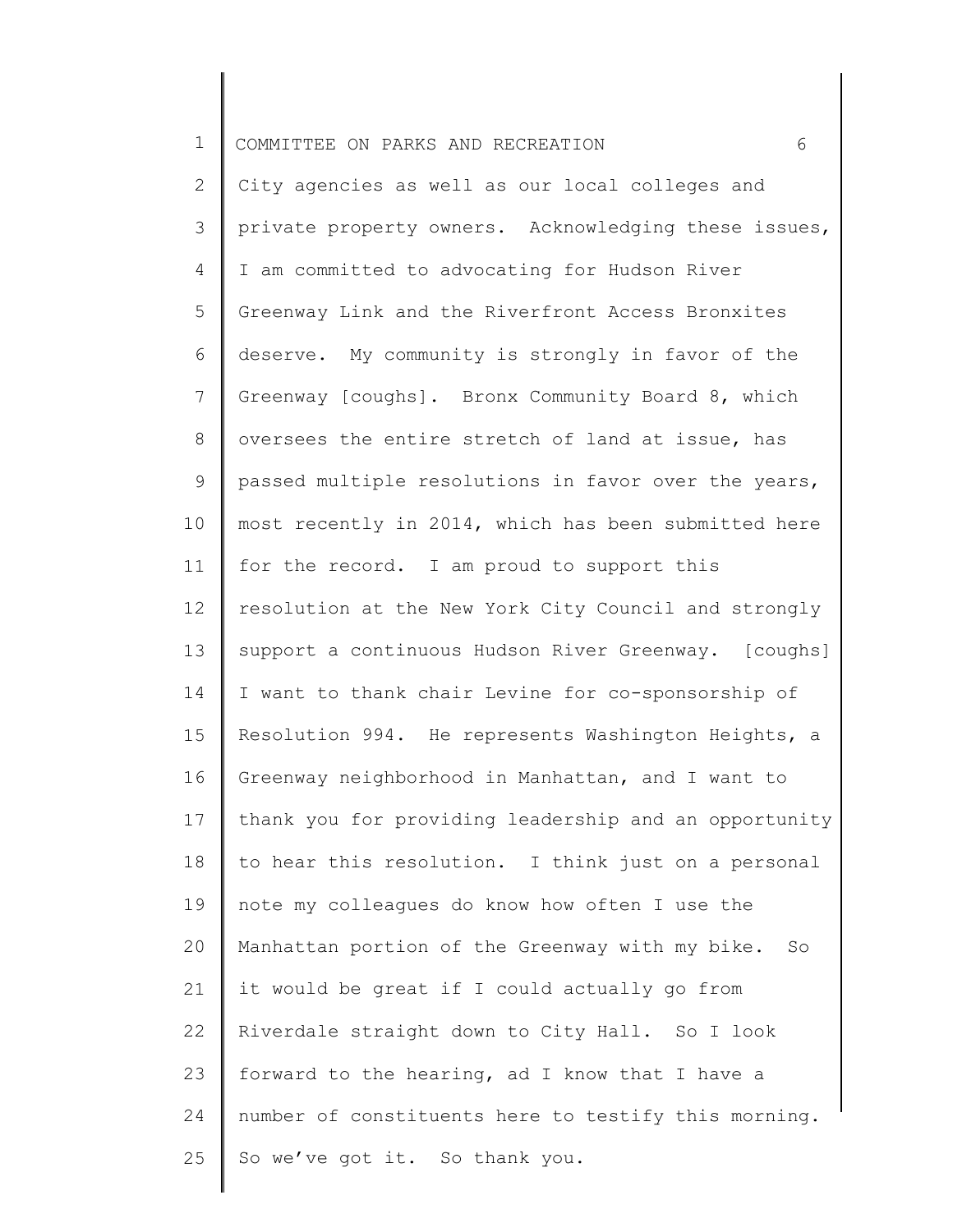| $\mathbf 1$    | 6<br>COMMITTEE ON PARKS AND RECREATION                |
|----------------|-------------------------------------------------------|
| $\mathbf{2}$   | City agencies as well as our local colleges and       |
| 3              | private property owners. Acknowledging these issues,  |
| $\overline{4}$ | I am committed to advocating for Hudson River         |
| 5              | Greenway Link and the Riverfront Access Bronxites     |
| 6              | deserve. My community is strongly in favor of the     |
| $7\phantom{.}$ | Greenway [coughs]. Bronx Community Board 8, which     |
| 8              | oversees the entire stretch of land at issue, has     |
| 9              | passed multiple resolutions in favor over the years,  |
| 10             | most recently in 2014, which has been submitted here  |
| 11             | for the record. I am proud to support this            |
| 12             | resolution at the New York City Council and strongly  |
| 13             | support a continuous Hudson River Greenway. [coughs]  |
| 14             | I want to thank chair Levine for co-sponsorship of    |
| 15             | Resolution 994. He represents Washington Heights, a   |
| 16             | Greenway neighborhood in Manhattan, and I want to     |
| 17             | thank you for providing leadership and an opportunity |
| 18             | to hear this resolution. I think just on a personal   |
| 19             | note my colleagues do know how often I use the        |
| 20             | Manhattan portion of the Greenway with my bike. So    |
| 21             | it would be great if I could actually go from         |
| 22             | Riverdale straight down to City Hall. So I look       |
| 23             | forward to the hearing, ad I know that I have a       |
| 24             | number of constituents here to testify this morning.  |
| 25             | So we've got it. So thank you.                        |
|                |                                                       |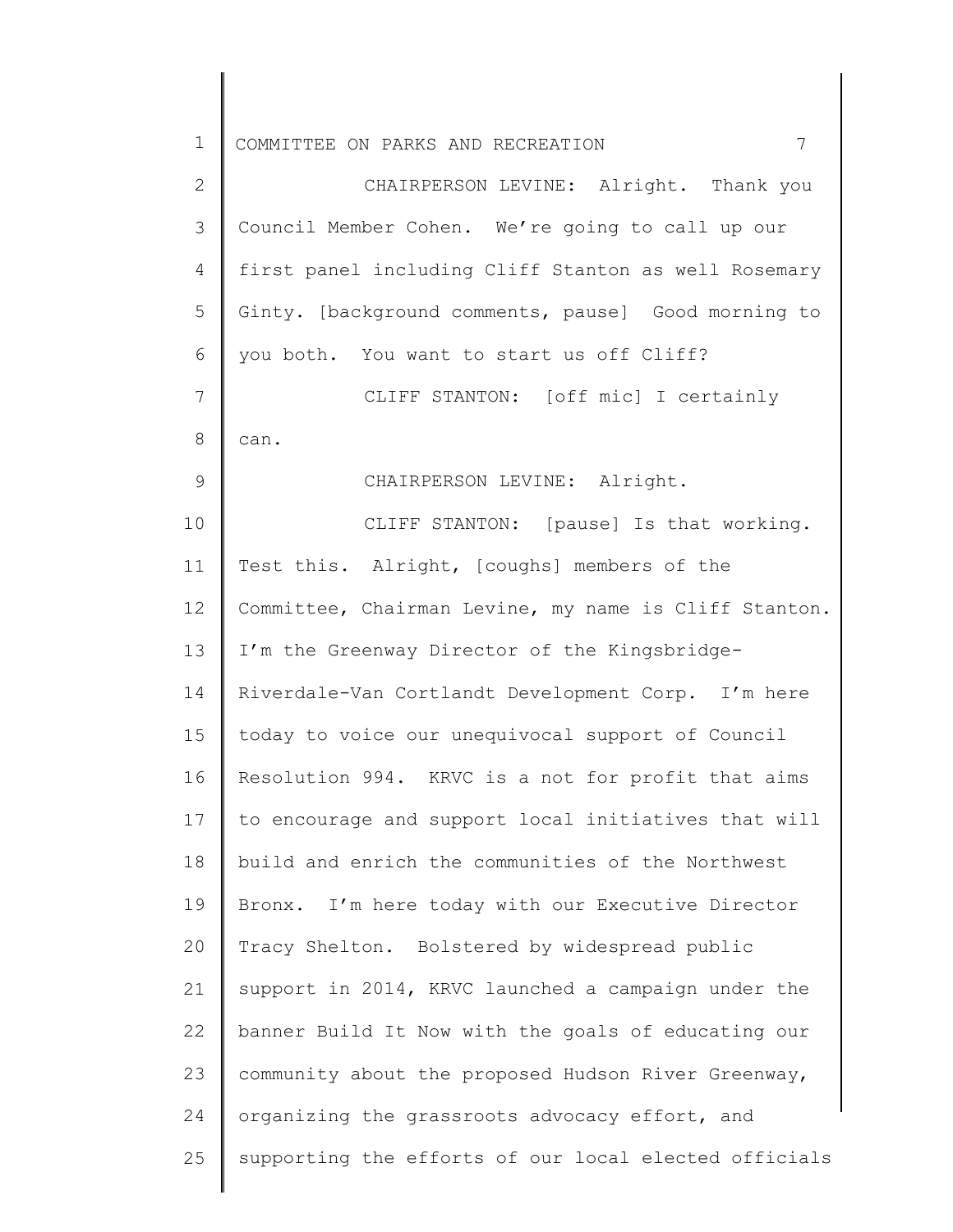| 1            | 7<br>COMMITTEE ON PARKS AND RECREATION                |
|--------------|-------------------------------------------------------|
| $\mathbf{2}$ | CHAIRPERSON LEVINE: Alright. Thank you                |
| 3            | Council Member Cohen. We're going to call up our      |
| 4            | first panel including Cliff Stanton as well Rosemary  |
| 5            | Ginty. [background comments, pause] Good morning to   |
| 6            | you both. You want to start us off Cliff?             |
| 7            | CLIFF STANTON: [off mic] I certainly                  |
| 8            | can.                                                  |
| 9            | CHAIRPERSON LEVINE: Alright.                          |
| 10           | CLIFF STANTON: [pause] Is that working.               |
| 11           | Test this. Alright, [coughs] members of the           |
| 12           | Committee, Chairman Levine, my name is Cliff Stanton. |
| 13           | I'm the Greenway Director of the Kingsbridge-         |
| 14           | Riverdale-Van Cortlandt Development Corp. I'm here    |
| 15           | today to voice our unequivocal support of Council     |
| 16           | Resolution 994. KRVC is a not for profit that aims    |
| 17           | to encourage and support local initiatives that will  |
| 18           | build and enrich the communities of the Northwest     |
| 19           | Bronx. I'm here today with our Executive Director     |
| 20           | Tracy Shelton. Bolstered by widespread public         |
| 21           | support in 2014, KRVC launched a campaign under the   |
| 22           | banner Build It Now with the goals of educating our   |
| 23           | community about the proposed Hudson River Greenway,   |
| 24           | organizing the grassroots advocacy effort, and        |
| 25           | supporting the efforts of our local elected officials |
|              |                                                       |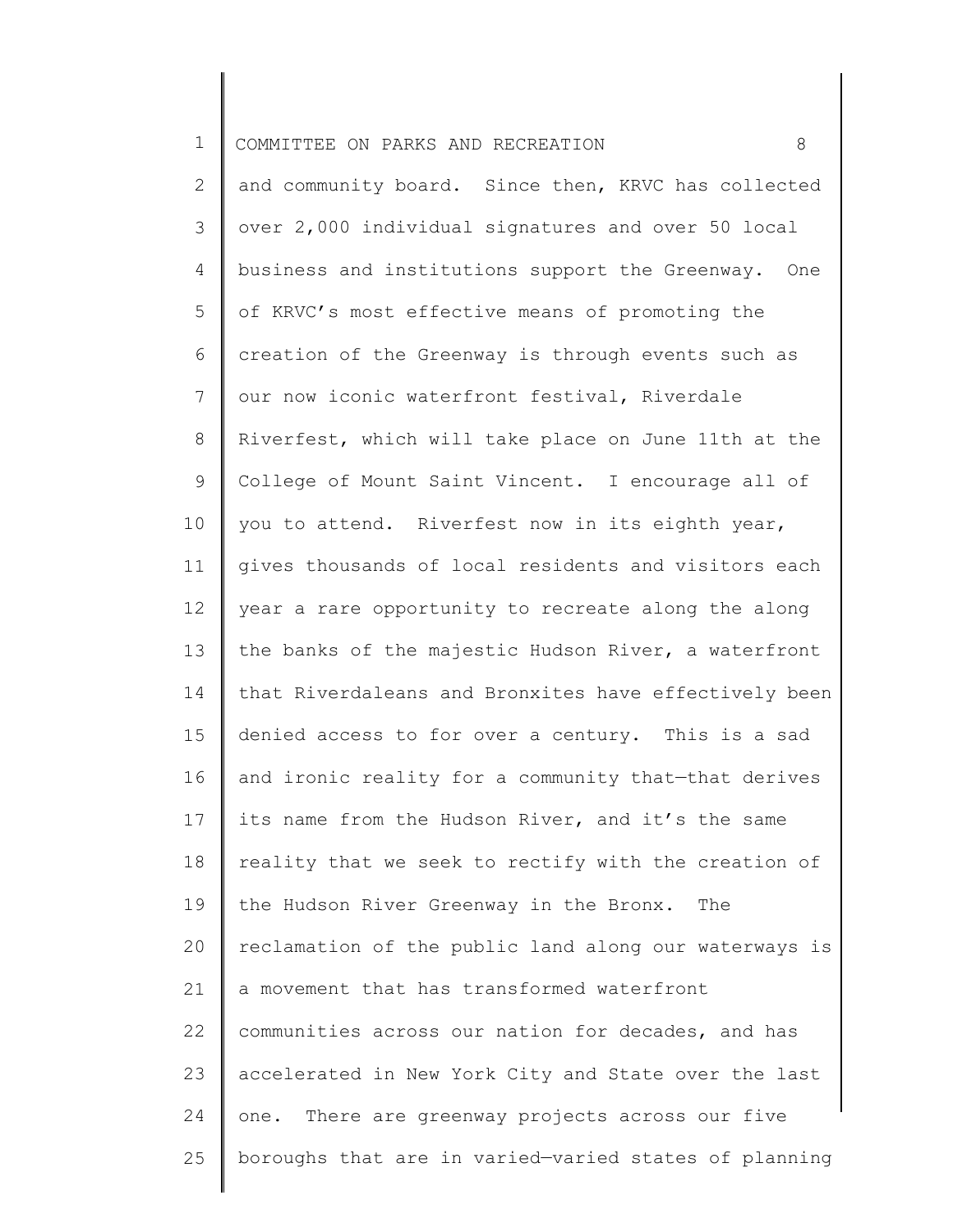| $\mathbf 1$    | 8<br>COMMITTEE ON PARKS AND RECREATION                |
|----------------|-------------------------------------------------------|
| 2              | and community board. Since then, KRVC has collected   |
| 3              | over 2,000 individual signatures and over 50 local    |
| 4              | business and institutions support the Greenway. One   |
| 5              | of KRVC's most effective means of promoting the       |
| 6              | creation of the Greenway is through events such as    |
| $\overline{7}$ | our now iconic waterfront festival, Riverdale         |
| 8              | Riverfest, which will take place on June 11th at the  |
| 9              | College of Mount Saint Vincent. I encourage all of    |
| 10             | you to attend. Riverfest now in its eighth year,      |
| 11             | gives thousands of local residents and visitors each  |
| 12             | year a rare opportunity to recreate along the along   |
| 13             | the banks of the majestic Hudson River, a waterfront  |
| 14             | that Riverdaleans and Bronxites have effectively been |
| 15             | denied access to for over a century. This is a sad    |
| 16             | and ironic reality for a community that-that derives  |
| 17             | its name from the Hudson River, and it's the same     |
| 18             | reality that we seek to rectify with the creation of  |
| 19             | the Hudson River Greenway in the Bronx.<br>The        |
| 20             | reclamation of the public land along our waterways is |
| 21             | a movement that has transformed waterfront            |
| 22             | communities across our nation for decades, and has    |
| 23             | accelerated in New York City and State over the last  |
| 24             | There are greenway projects across our five<br>one.   |
| 25             | boroughs that are in varied-varied states of planning |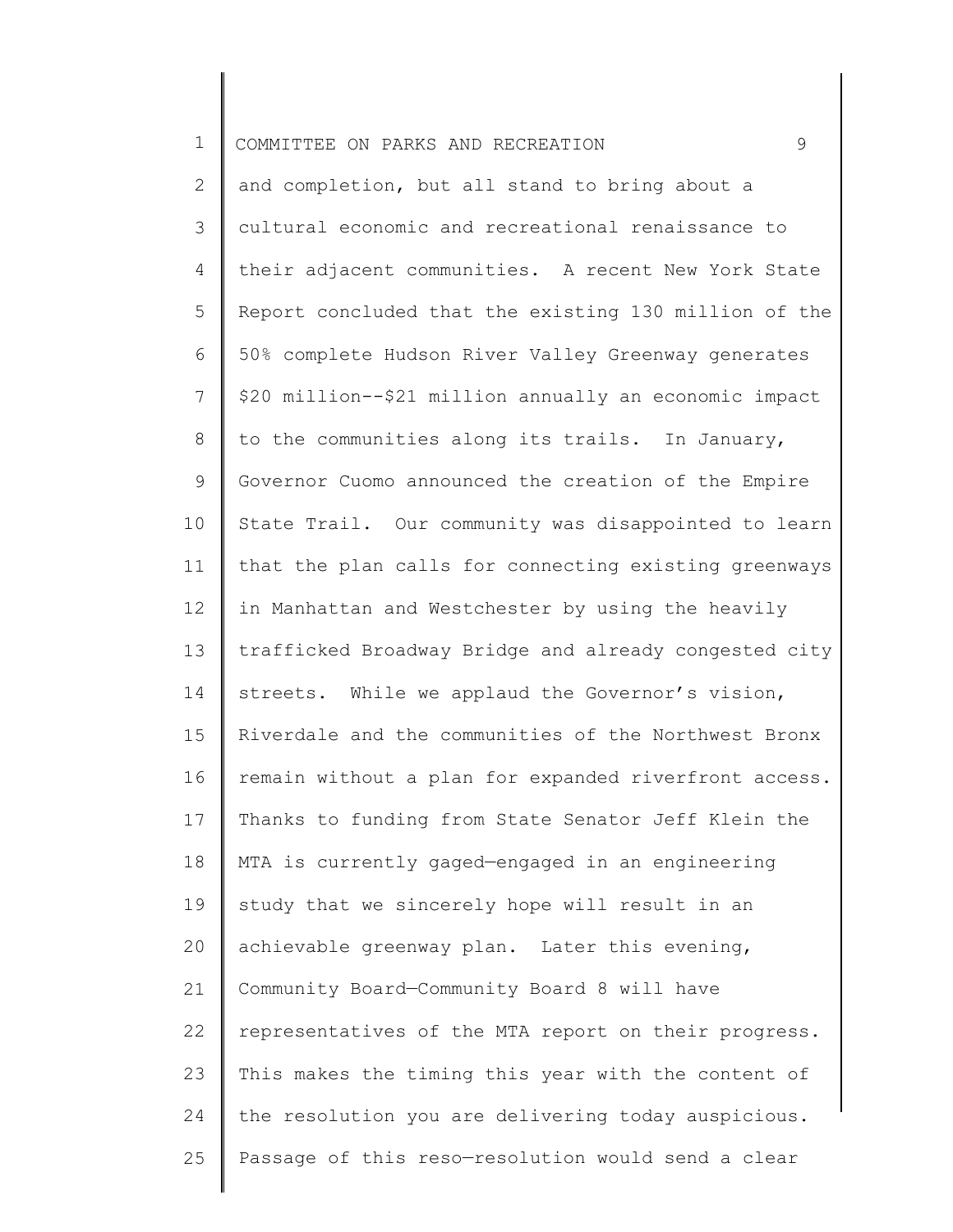## 1 COMMITTEE ON PARKS AND RECREATION 9

2 3 4 5 6 7 8 9 10 11 12 13 14 15 16 17 18 19 20 21 22 23 24 25 and completion, but all stand to bring about a cultural economic and recreational renaissance to their adjacent communities. A recent New York State Report concluded that the existing 130 million of the 50% complete Hudson River Valley Greenway generates \$20 million--\$21 million annually an economic impact to the communities along its trails. In January, Governor Cuomo announced the creation of the Empire State Trail. Our community was disappointed to learn that the plan calls for connecting existing greenways in Manhattan and Westchester by using the heavily trafficked Broadway Bridge and already congested city streets. While we applaud the Governor's vision, Riverdale and the communities of the Northwest Bronx remain without a plan for expanded riverfront access. Thanks to funding from State Senator Jeff Klein the MTA is currently gaged—engaged in an engineering study that we sincerely hope will result in an achievable greenway plan. Later this evening, Community Board—Community Board 8 will have representatives of the MTA report on their progress. This makes the timing this year with the content of the resolution you are delivering today auspicious. Passage of this reso—resolution would send a clear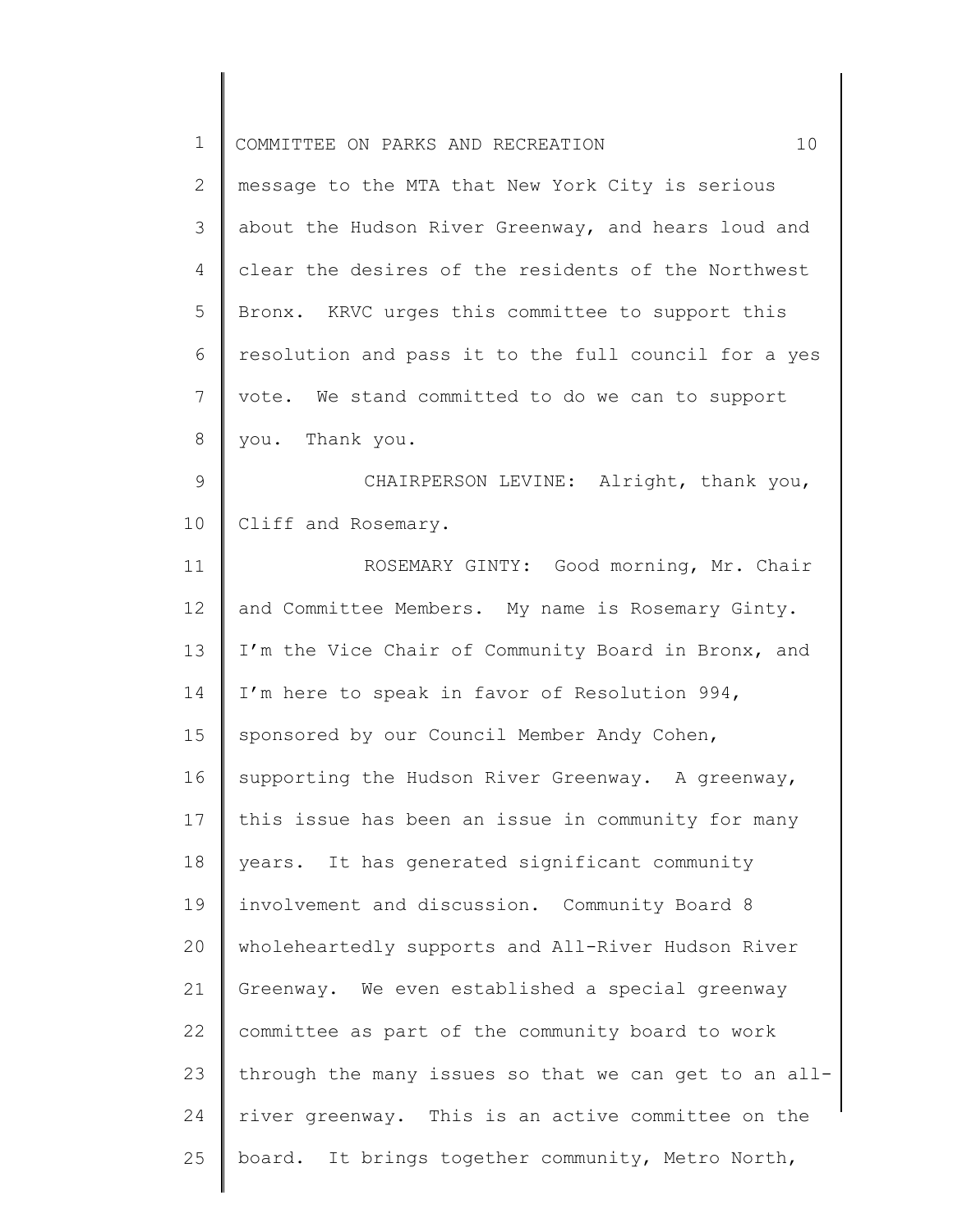| $\mathbf 1$    | 10<br>COMMITTEE ON PARKS AND RECREATION               |
|----------------|-------------------------------------------------------|
| $\mathbf{2}$   | message to the MTA that New York City is serious      |
| 3              | about the Hudson River Greenway, and hears loud and   |
| $\overline{4}$ | clear the desires of the residents of the Northwest   |
| 5              | Bronx. KRVC urges this committee to support this      |
| 6              | resolution and pass it to the full council for a yes  |
| 7              | vote. We stand committed to do we can to support      |
| $\,8\,$        | you. Thank you.                                       |
| $\mathcal{G}$  | CHAIRPERSON LEVINE: Alright, thank you,               |
| 10             | Cliff and Rosemary.                                   |
| 11             | ROSEMARY GINTY: Good morning, Mr. Chair               |
| 12             | and Committee Members. My name is Rosemary Ginty.     |
| 13             | I'm the Vice Chair of Community Board in Bronx, and   |
| 14             | I'm here to speak in favor of Resolution 994,         |
| 15             | sponsored by our Council Member Andy Cohen,           |
| 16             | supporting the Hudson River Greenway. A greenway,     |
| 17             | this issue has been an issue in community for many    |
| 18             | years. It has generated significant community         |
| 19             | involvement and discussion. Community Board 8         |
| 20             | wholeheartedly supports and All-River Hudson River    |
| 21             | Greenway. We even established a special greenway      |
| 22             | committee as part of the community board to work      |
| 23             | through the many issues so that we can get to an all- |
| 24             | river greenway. This is an active committee on the    |
| 25             | board. It brings together community, Metro North,     |
|                |                                                       |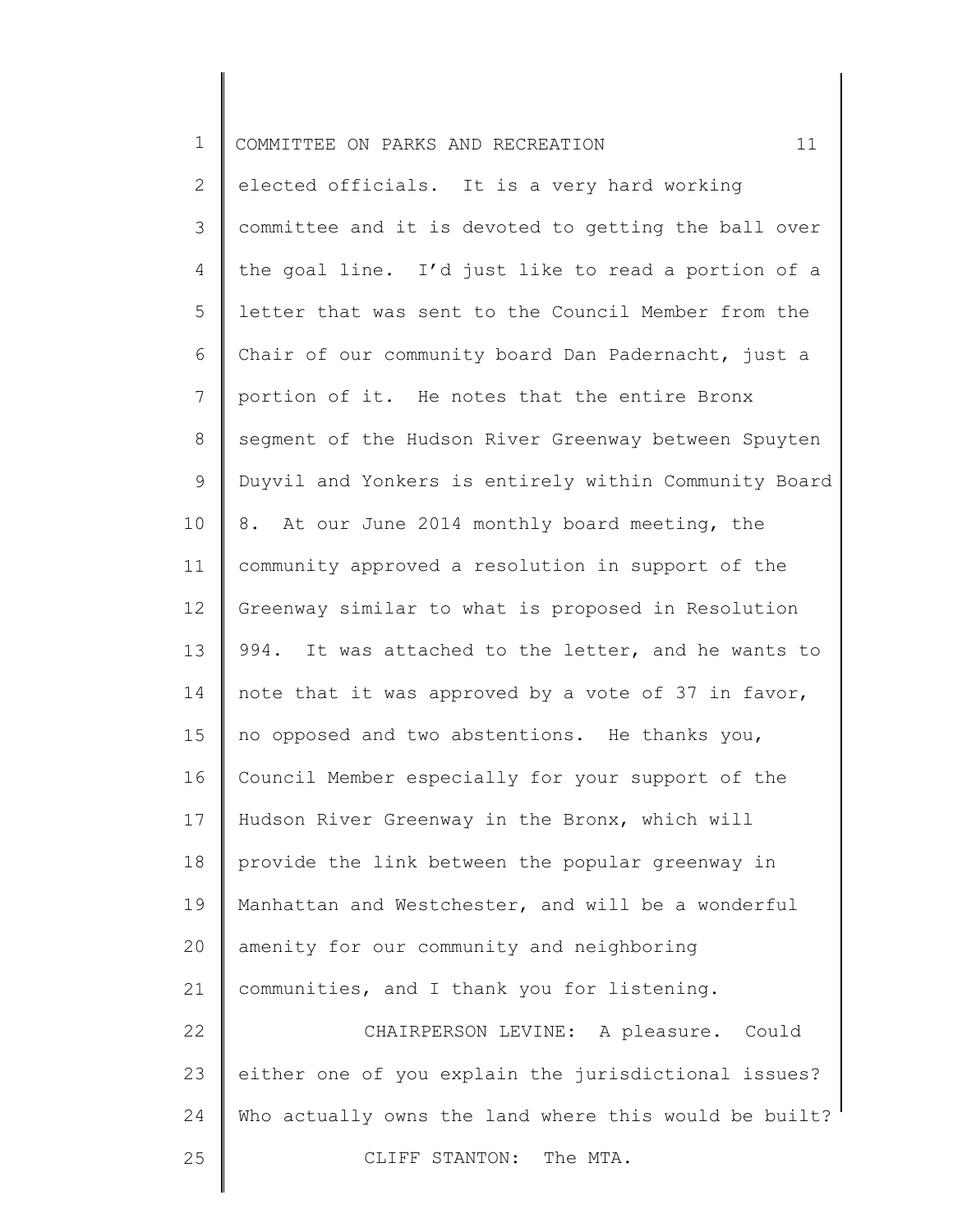| $\mathbf 1$     | 11<br>COMMITTEE ON PARKS AND RECREATION                |
|-----------------|--------------------------------------------------------|
| $\overline{2}$  | elected officials. It is a very hard working           |
| 3               | committee and it is devoted to getting the ball over   |
| 4               | the goal line. I'd just like to read a portion of a    |
| 5               | letter that was sent to the Council Member from the    |
| 6               | Chair of our community board Dan Padernacht, just a    |
| 7               | portion of it. He notes that the entire Bronx          |
| 8               | segment of the Hudson River Greenway between Spuyten   |
| 9               | Duyvil and Yonkers is entirely within Community Board  |
| 10              | At our June 2014 monthly board meeting, the<br>8.      |
| 11              | community approved a resolution in support of the      |
| 12              | Greenway similar to what is proposed in Resolution     |
| 13              | 994.<br>It was attached to the letter, and he wants to |
| 14              | note that it was approved by a vote of 37 in favor,    |
| 15 <sub>1</sub> | no opposed and two abstentions. He thanks you,         |
| 16              | Council Member especially for your support of the      |
| 17              | Hudson River Greenway in the Bronx, which will         |
| 18              | provide the link between the popular greenway in       |
| 19              | Manhattan and Westchester, and will be a wonderful     |
| 20              | amenity for our community and neighboring              |
| 21              | communities, and I thank you for listening.            |
| 22              | CHAIRPERSON LEVINE: A pleasure. Could                  |
| 23              | either one of you explain the jurisdictional issues?   |
| 24              | Who actually owns the land where this would be built?  |
| 25              | CLIFF STANTON: The MTA.                                |
|                 |                                                        |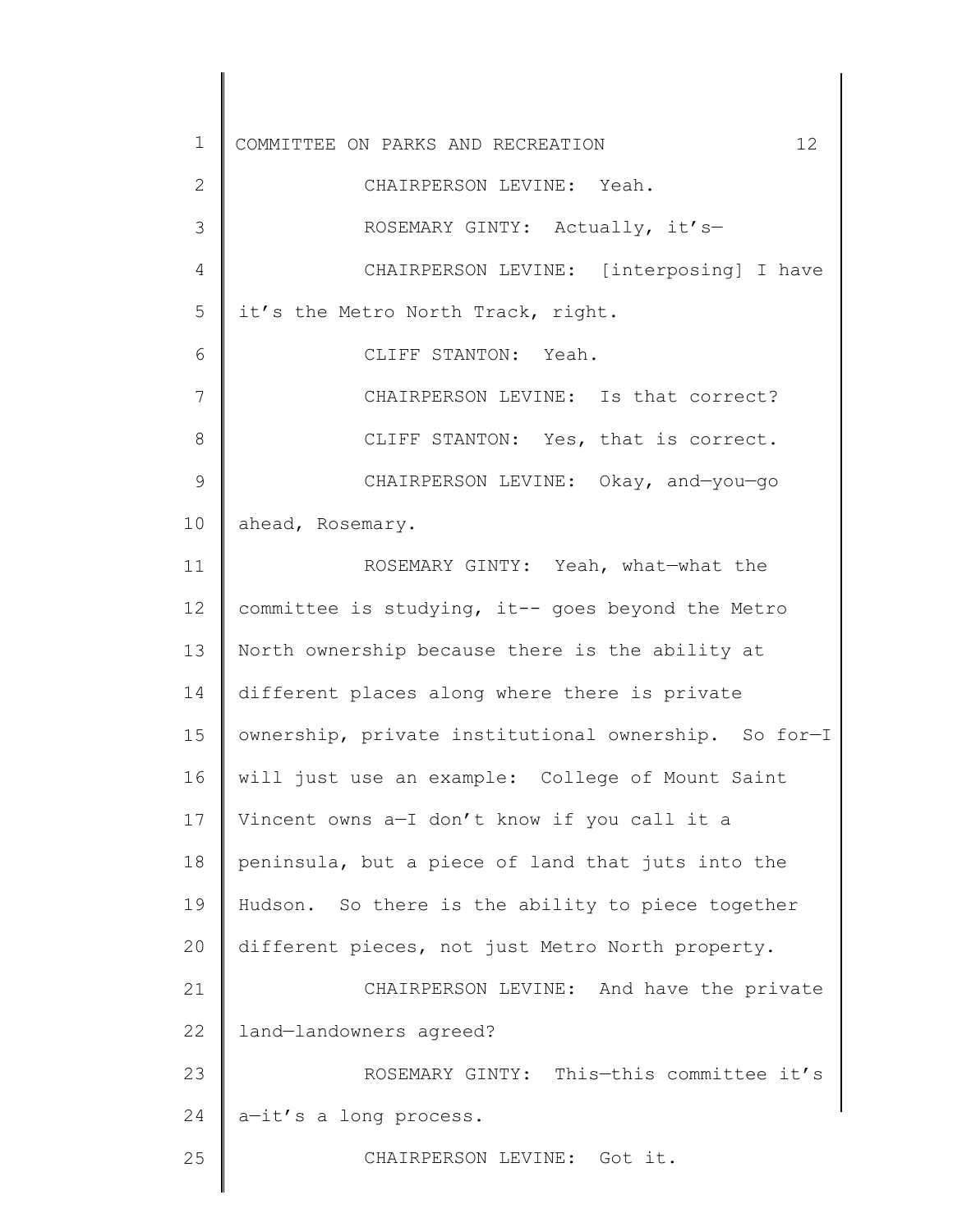1 2 3 4 5 6 7 8 9 10 11 12 13 14 15 16 17 18 19 20 21 22 23 24 25 COMMITTEE ON PARKS AND RECREATION 12 CHAIRPERSON LEVINE: Yeah. ROSEMARY GINTY: Actually, it's— CHAIRPERSON LEVINE: [interposing] I have it's the Metro North Track, right. CLIFF STANTON: Yeah. CHAIRPERSON LEVINE: Is that correct? CLIFF STANTON: Yes, that is correct. CHAIRPERSON LEVINE: Okay, and—you—go ahead, Rosemary. ROSEMARY GINTY: Yeah, what—what the committee is studying, it-- goes beyond the Metro North ownership because there is the ability at different places along where there is private ownership, private institutional ownership. So for—I will just use an example: College of Mount Saint Vincent owns a—I don't know if you call it a peninsula, but a piece of land that juts into the Hudson. So there is the ability to piece together different pieces, not just Metro North property. CHAIRPERSON LEVINE: And have the private land—landowners agreed? ROSEMARY GINTY: This—this committee it's a—it's a long process. CHAIRPERSON LEVINE: Got it.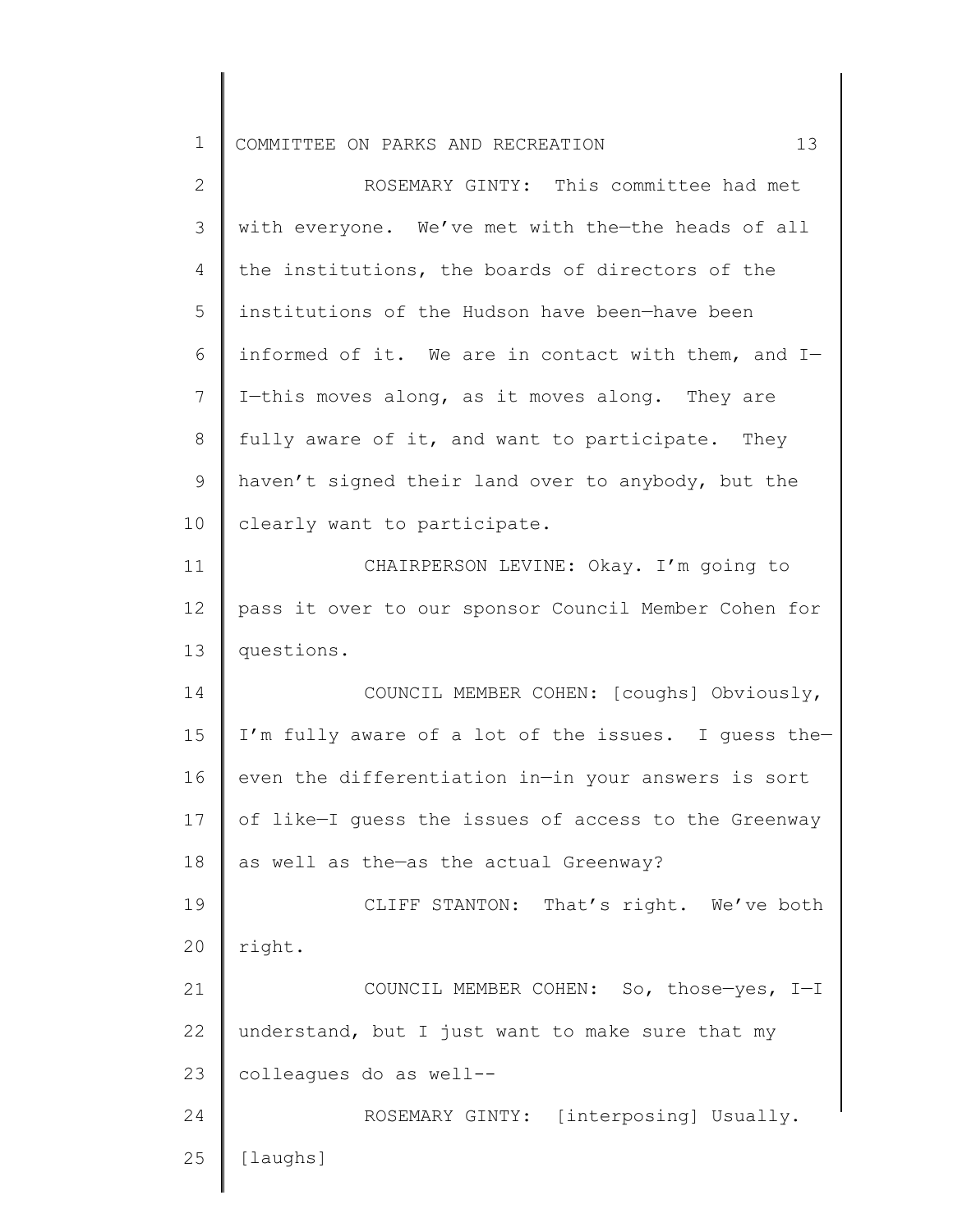1 COMMITTEE ON PARKS AND RECREATION 13

| $\overline{2}$ | ROSEMARY GINTY: This committee had met               |
|----------------|------------------------------------------------------|
| 3              | with everyone. We've met with the-the heads of all   |
| 4              | the institutions, the boards of directors of the     |
| 5              | institutions of the Hudson have been-have been       |
| 6              | informed of it. We are in contact with them, and I-  |
| 7              | I-this moves along, as it moves along. They are      |
| 8              | fully aware of it, and want to participate. They     |
| 9              | haven't signed their land over to anybody, but the   |
| 10             | clearly want to participate.                         |
| 11             | CHAIRPERSON LEVINE: Okay. I'm going to               |
| 12             | pass it over to our sponsor Council Member Cohen for |
| 13             | questions.                                           |
| 14             | COUNCIL MEMBER COHEN: [coughs] Obviously,            |
| 15             | I'm fully aware of a lot of the issues. I guess the- |
| 16             | even the differentiation in-in your answers is sort  |
| 17             | of like-I guess the issues of access to the Greenway |
| 18             | as well as the-as the actual Greenway?               |
| 19             | CLIFF STANTON: That's right. We've both              |
| 20             | right.                                               |
| 21             | COUNCIL MEMBER COHEN: So, those-yes, I-I             |
| 22             | understand, but I just want to make sure that my     |
| 23             | colleagues do as well--                              |
| 24             | ROSEMARY GINTY: [interposing] Usually.               |
| 25             | [laughs]                                             |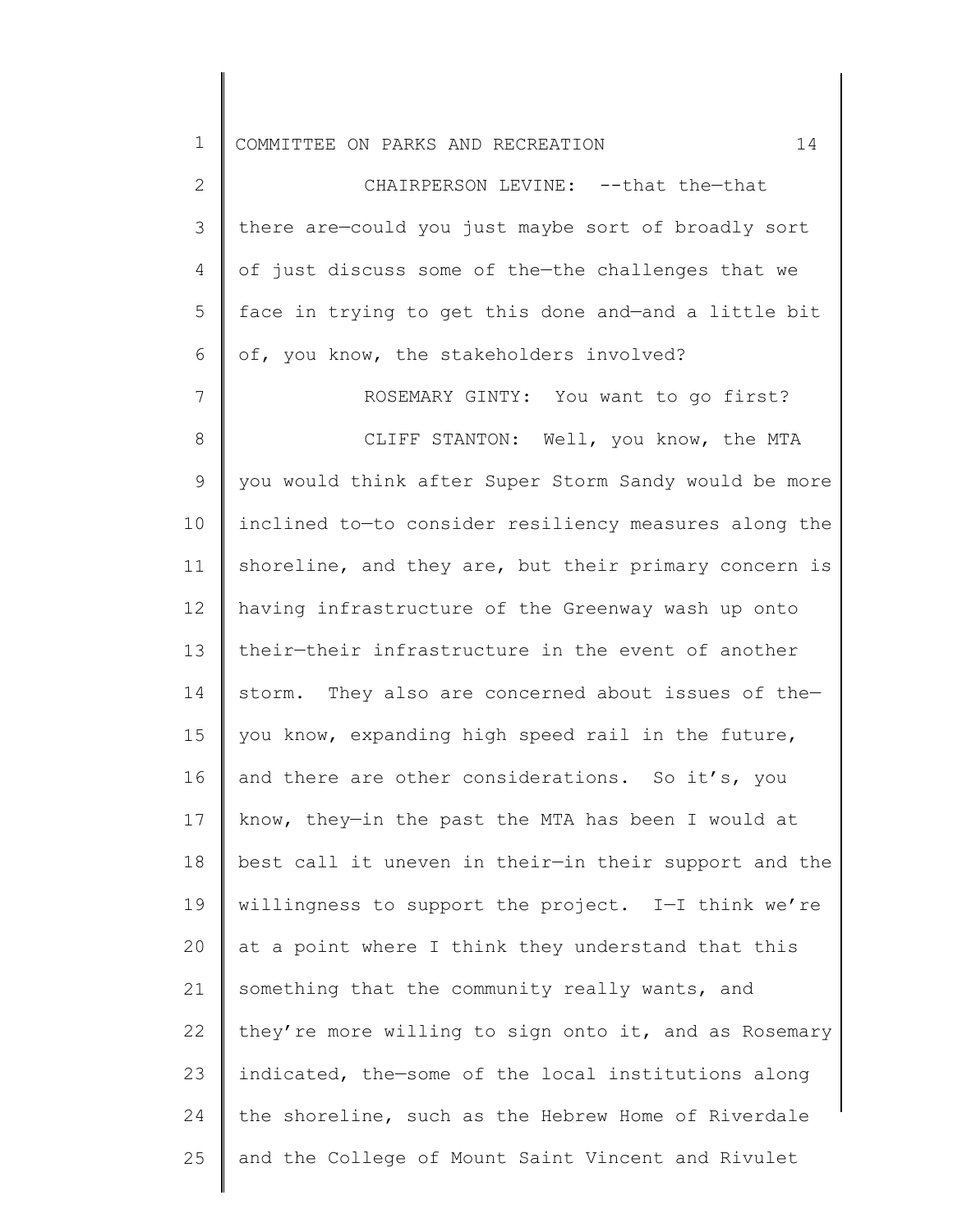1 COMMITTEE ON PARKS AND RECREATION 14

2 3 4 5 6 CHAIRPERSON LEVINE: --that the—that there are—could you just maybe sort of broadly sort of just discuss some of the—the challenges that we face in trying to get this done and—and a little bit of, you know, the stakeholders involved?

7 8 9 10 11 12 13 14 15 16 17 18 19 20 21 22 23 24 25 ROSEMARY GINTY: You want to go first? CLIFF STANTON: Well, you know, the MTA you would think after Super Storm Sandy would be more inclined to—to consider resiliency measures along the shoreline, and they are, but their primary concern is having infrastructure of the Greenway wash up onto their—their infrastructure in the event of another storm. They also are concerned about issues of the you know, expanding high speed rail in the future, and there are other considerations. So it's, you know, they—in the past the MTA has been I would at best call it uneven in their—in their support and the willingness to support the project. I—I think we're at a point where I think they understand that this something that the community really wants, and they're more willing to sign onto it, and as Rosemary indicated, the—some of the local institutions along the shoreline, such as the Hebrew Home of Riverdale and the College of Mount Saint Vincent and Rivulet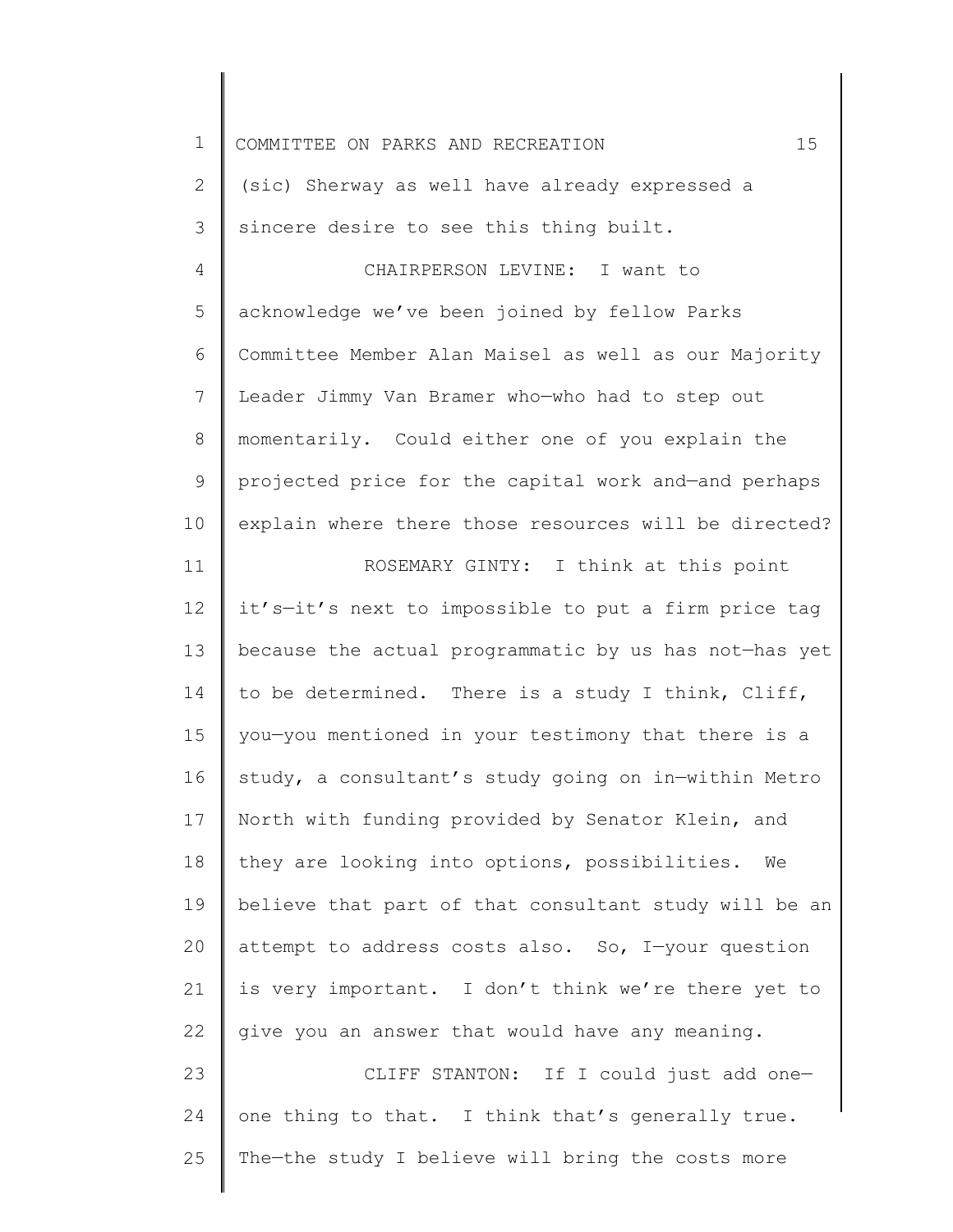| $\mathbf 1$  | 15<br>COMMITTEE ON PARKS AND RECREATION               |
|--------------|-------------------------------------------------------|
| $\mathbf{2}$ | (sic) Sherway as well have already expressed a        |
| 3            | sincere desire to see this thing built.               |
| 4            | CHAIRPERSON LEVINE: I want to                         |
| 5            | acknowledge we've been joined by fellow Parks         |
| 6            | Committee Member Alan Maisel as well as our Majority  |
| 7            | Leader Jimmy Van Bramer who-who had to step out       |
| 8            | momentarily. Could either one of you explain the      |
| 9            | projected price for the capital work and-and perhaps  |
| 10           | explain where there those resources will be directed? |
| 11           | ROSEMARY GINTY: I think at this point                 |
| 12           | it's-it's next to impossible to put a firm price tag  |
| 13           | because the actual programmatic by us has not-has yet |
| 14           | to be determined. There is a study I think, Cliff,    |
| 15           | you-you mentioned in your testimony that there is a   |
| 16           | study, a consultant's study going on in-within Metro  |
| 17           | North with funding provided by Senator Klein, and     |
| 18           | they are looking into options, possibilities. We      |
| 19           | believe that part of that consultant study will be an |
| 20           | attempt to address costs also. So, I-your question    |
| 21           | is very important. I don't think we're there yet to   |
| 22           | give you an answer that would have any meaning.       |
| 23           | CLIFF STANTON: If I could just add one-               |
| 24           | one thing to that. I think that's generally true.     |
| 25           | The-the study I believe will bring the costs more     |
|              |                                                       |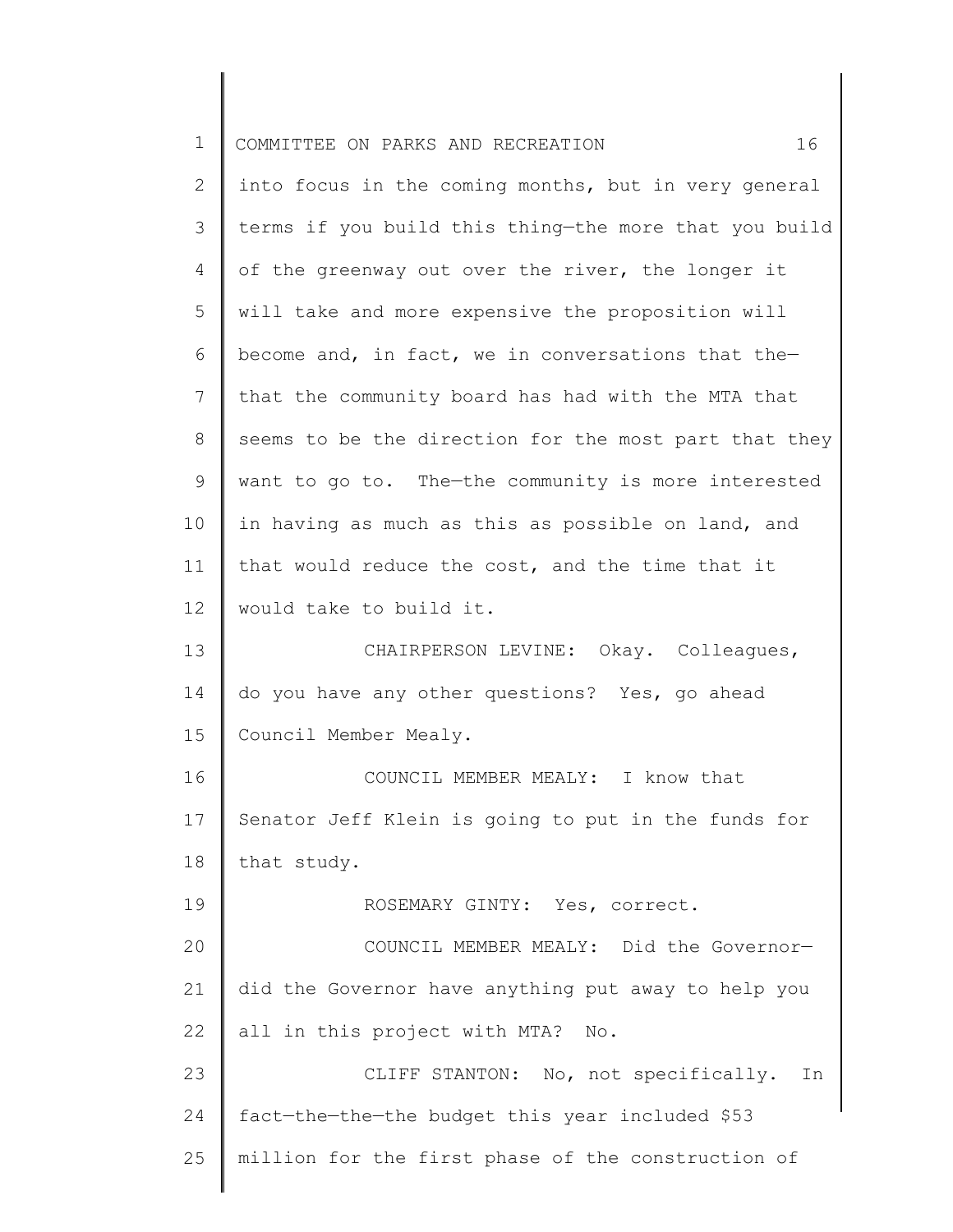| $\mathbf 1$ | 16<br>COMMITTEE ON PARKS AND RECREATION               |
|-------------|-------------------------------------------------------|
| 2           | into focus in the coming months, but in very general  |
| 3           | terms if you build this thing-the more that you build |
| 4           | of the greenway out over the river, the longer it     |
| 5           | will take and more expensive the proposition will     |
| 6           | become and, in fact, we in conversations that the-    |
| 7           | that the community board has had with the MTA that    |
| 8           | seems to be the direction for the most part that they |
| 9           | want to go to. The-the community is more interested   |
| 10          | in having as much as this as possible on land, and    |
| 11          | that would reduce the cost, and the time that it      |
| 12          | would take to build it.                               |
| 13          | CHAIRPERSON LEVINE: Okay. Colleagues,                 |
| 14          | do you have any other questions? Yes, go ahead        |
| 15          | Council Member Mealy.                                 |
| 16          | COUNCIL MEMBER MEALY: I know that                     |
| 17          | Senator Jeff Klein is going to put in the funds for   |
| 18          | that study.                                           |
| 19          | ROSEMARY GINTY: Yes, correct.                         |
| 20          | COUNCIL MEMBER MEALY: Did the Governor-               |
| 21          | did the Governor have anything put away to help you   |
| 22          | all in this project with MTA? No.                     |
| 23          | CLIFF STANTON: No, not specifically.<br>In            |
| 24          | fact-the-the-the budget this year included \$53       |
| 25          | million for the first phase of the construction of    |
|             |                                                       |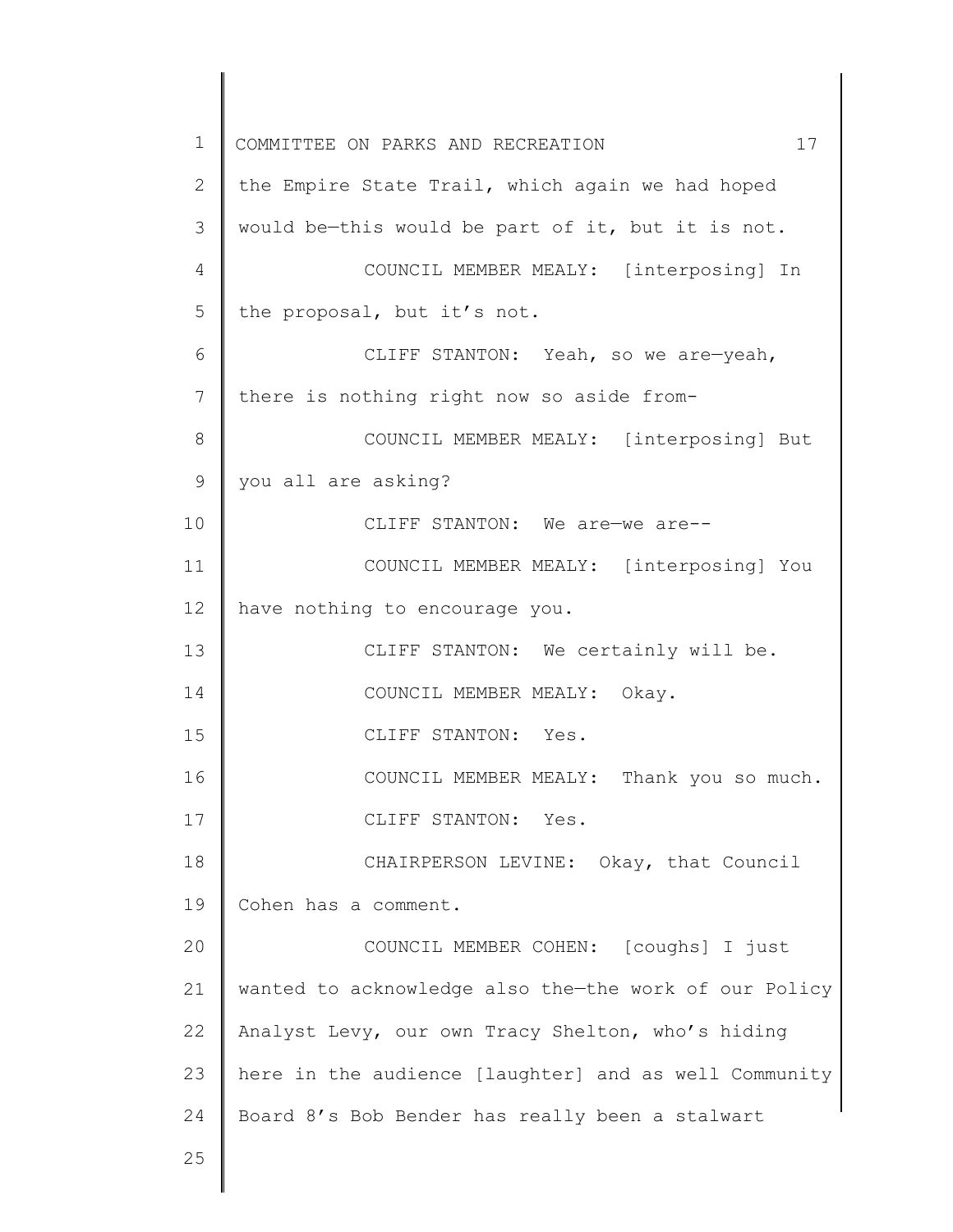1 2 3 4 5 6 7 8 9 10 11 12 13 14 15 16 17 18 19 20 21 22 23 24 25 COMMITTEE ON PARKS AND RECREATION 17 the Empire State Trail, which again we had hoped would be—this would be part of it, but it is not. COUNCIL MEMBER MEALY: [interposing] In the proposal, but it's not. CLIFF STANTON: Yeah, so we are—yeah, there is nothing right now so aside from-COUNCIL MEMBER MEALY: [interposing] But you all are asking? CLIFF STANTON: We are—we are-- COUNCIL MEMBER MEALY: [interposing] You have nothing to encourage you. CLIFF STANTON: We certainly will be. COUNCIL MEMBER MEALY: Okay. CLIFF STANTON: Yes. COUNCIL MEMBER MEALY: Thank you so much. CLIFF STANTON: Yes. CHAIRPERSON LEVINE: Okay, that Council Cohen has a comment. COUNCIL MEMBER COHEN: [coughs] I just wanted to acknowledge also the—the work of our Policy Analyst Levy, our own Tracy Shelton, who's hiding here in the audience [laughter] and as well Community Board 8's Bob Bender has really been a stalwart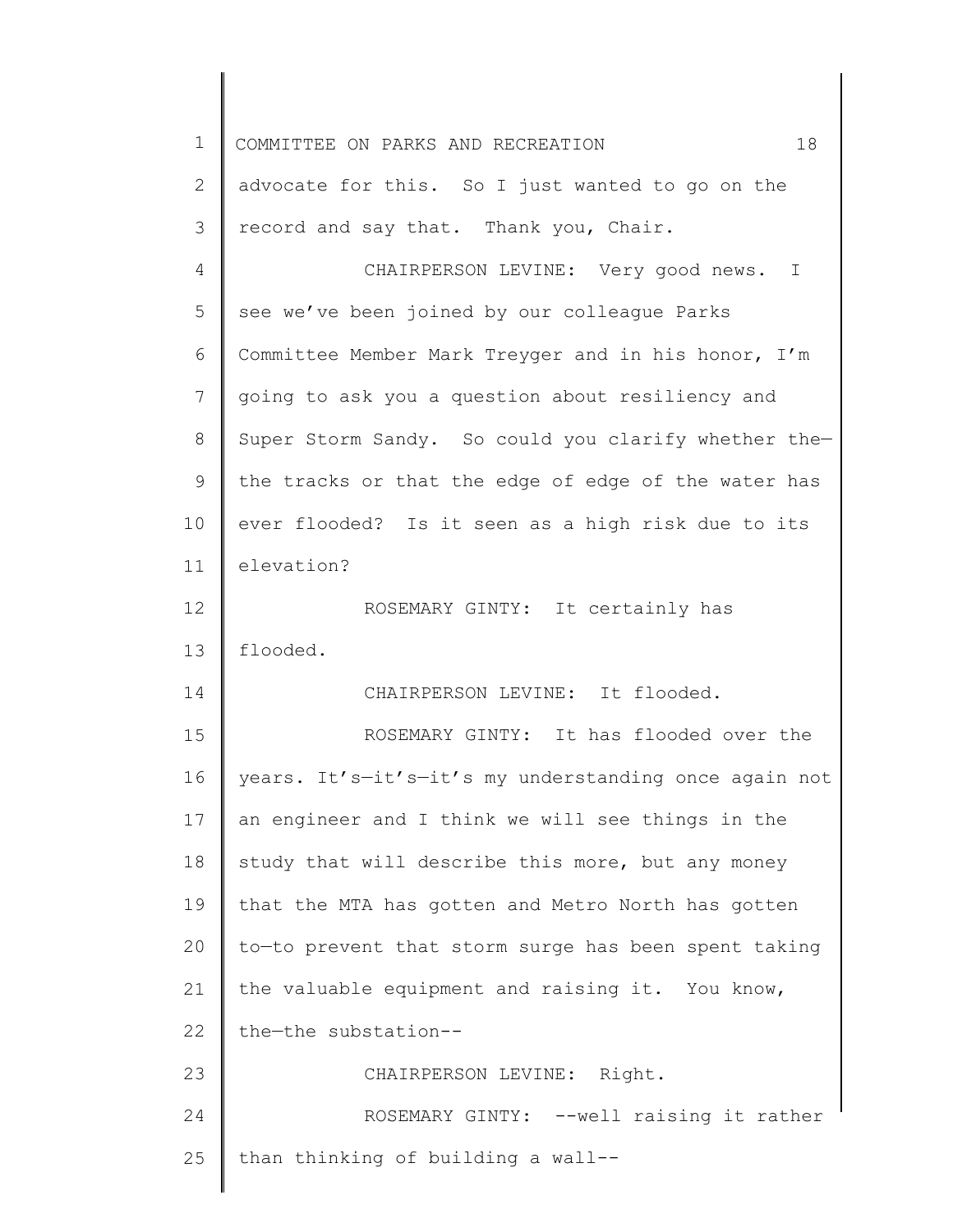| $\mathbf 1$ | 18<br>COMMITTEE ON PARKS AND RECREATION               |
|-------------|-------------------------------------------------------|
| 2           | advocate for this. So I just wanted to go on the      |
| 3           | record and say that. Thank you, Chair.                |
| 4           | CHAIRPERSON LEVINE: Very good news. I                 |
| 5           | see we've been joined by our colleague Parks          |
| 6           | Committee Member Mark Treyger and in his honor, I'm   |
| 7           | going to ask you a question about resiliency and      |
| 8           | Super Storm Sandy. So could you clarify whether the-  |
| 9           | the tracks or that the edge of edge of the water has  |
| 10          | ever flooded? Is it seen as a high risk due to its    |
| 11          | elevation?                                            |
| 12          | ROSEMARY GINTY: It certainly has                      |
| 13          | flooded.                                              |
| 14          | CHAIRPERSON LEVINE: It flooded.                       |
| 15          | ROSEMARY GINTY: It has flooded over the               |
| 16          | years. It's-it's-it's my understanding once again not |
| 17          | an engineer and I think we will see things in the     |
| 18          | study that will describe this more, but any money     |
| 19          | that the MTA has gotten and Metro North has gotten    |
| 20          | to-to prevent that storm surge has been spent taking  |
| 21          | the valuable equipment and raising it. You know,      |
| 22          | the-the substation--                                  |
| 23          | CHAIRPERSON LEVINE: Right.                            |
| 24          | ROSEMARY GINTY: --well raising it rather              |
| 25          | than thinking of building a wall--                    |
|             |                                                       |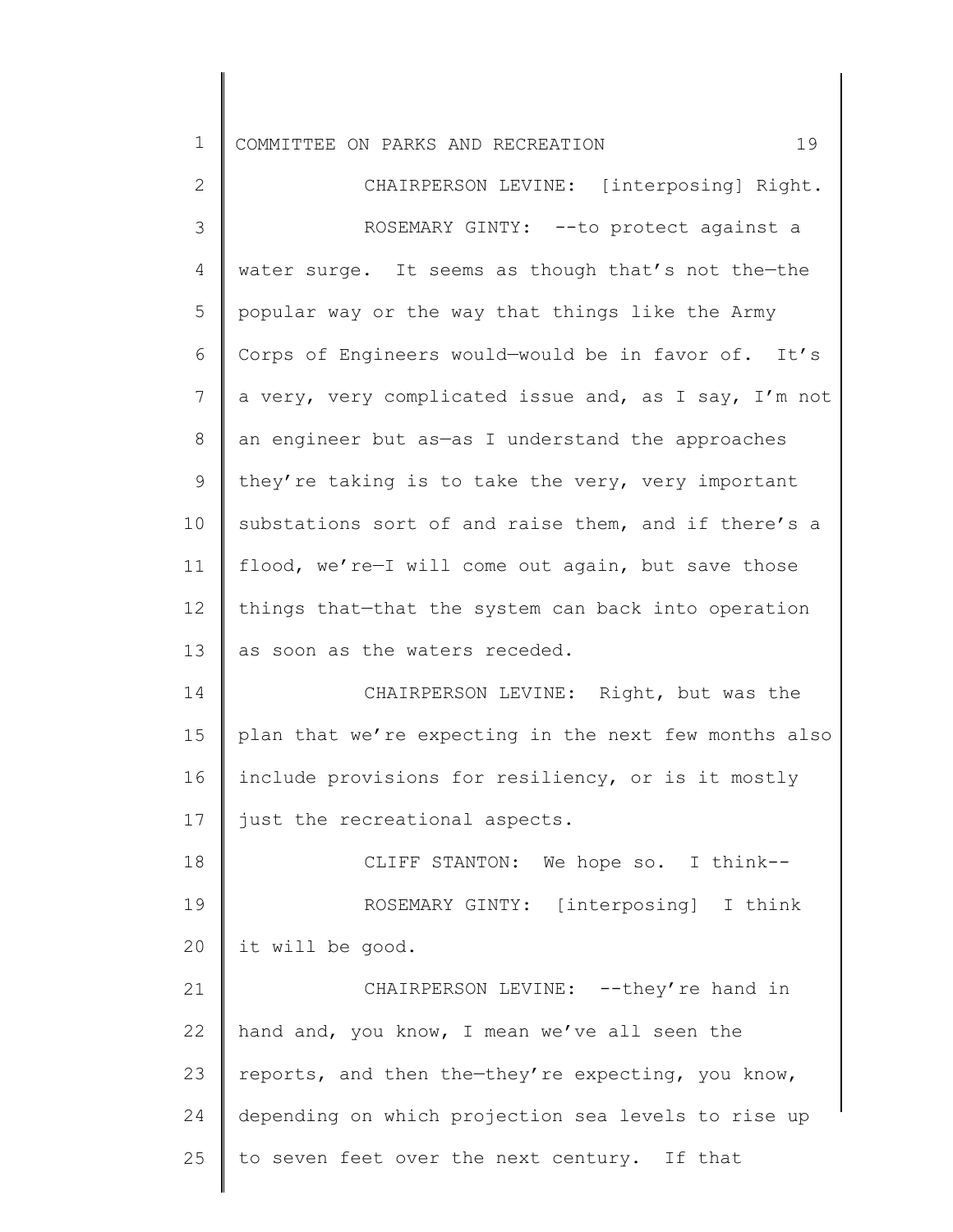| $\mathbf 1$    | 19<br>COMMITTEE ON PARKS AND RECREATION               |
|----------------|-------------------------------------------------------|
| $\mathbf{2}$   | CHAIRPERSON LEVINE: [interposing] Right.              |
| $\mathcal{S}$  | ROSEMARY GINTY: -- to protect against a               |
| 4              | water surge. It seems as though that's not the-the    |
| 5              | popular way or the way that things like the Army      |
| 6              | Corps of Engineers would-would be in favor of. It's   |
| $\overline{7}$ | a very, very complicated issue and, as I say, I'm not |
| 8              | an engineer but as-as I understand the approaches     |
| 9              | they're taking is to take the very, very important    |
| 10             | substations sort of and raise them, and if there's a  |
| 11             | flood, we're-I will come out again, but save those    |
| 12             | things that-that the system can back into operation   |
| 13             | as soon as the waters receded.                        |
| 14             | CHAIRPERSON LEVINE: Right, but was the                |
| 15             | plan that we're expecting in the next few months also |
| 16             | include provisions for resiliency, or is it mostly    |
| 17             | just the recreational aspects.                        |
| 18             | CLIFF STANTON: We hope so. I think--                  |
| 19             | ROSEMARY GINTY: [interposing] I think                 |
| 20             | it will be good.                                      |
| 21             | CHAIRPERSON LEVINE: --they're hand in                 |
| 22             | hand and, you know, I mean we've all seen the         |
| 23             | reports, and then the-they're expecting, you know,    |
| 24             | depending on which projection sea levels to rise up   |
| 25             | to seven feet over the next century. If that          |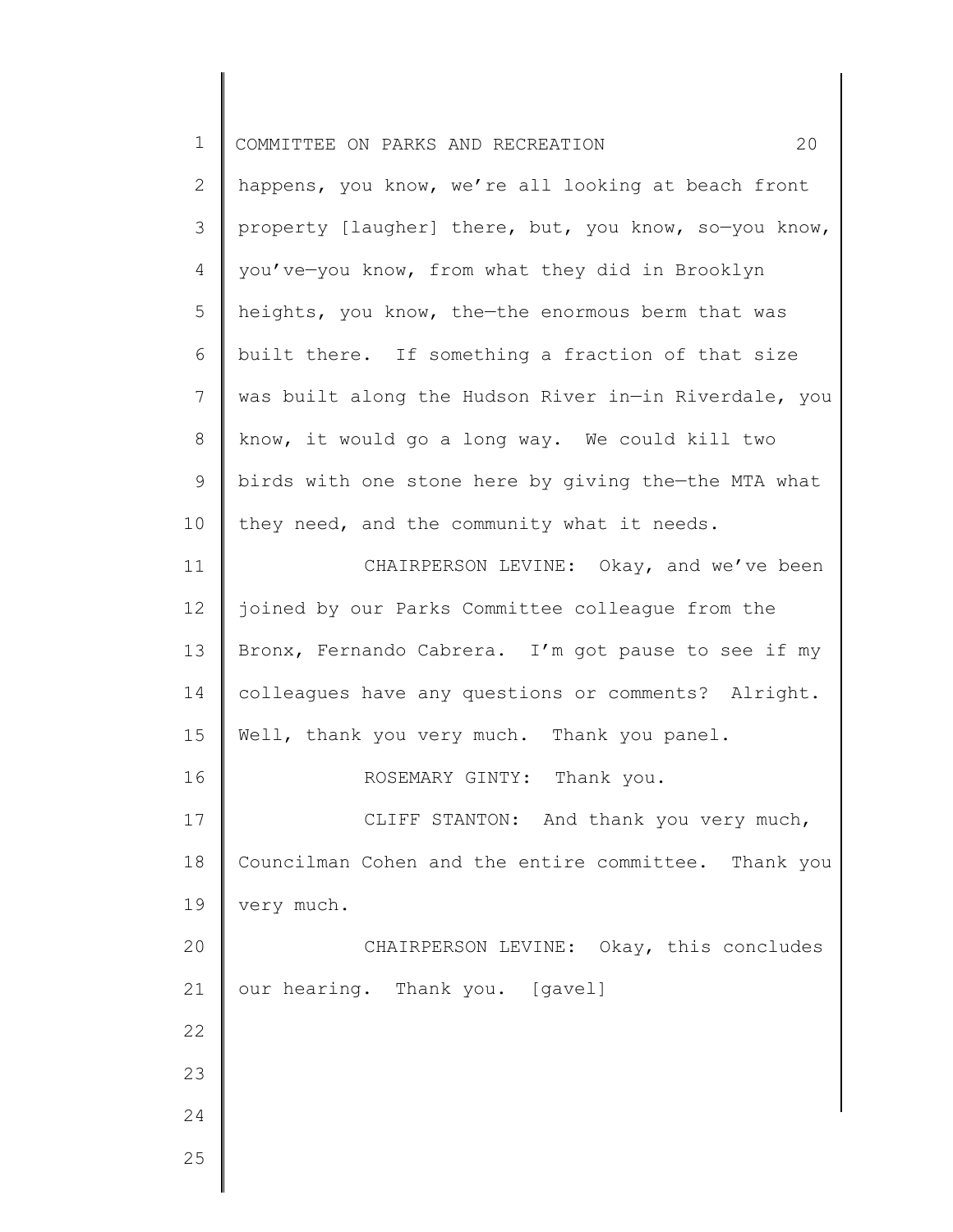| $\mathbf 1$<br>COMMITTEE ON PARKS AND RECREATION<br>$\mathbf{2}$<br>happens, you know, we're all looking at beach front<br>3<br>property [laugher] there, but, you know, so-you know,<br>4<br>you've-you know, from what they did in Brooklyn<br>5<br>heights, you know, the-the enormous berm that was<br>6<br>built there. If something a fraction of that size<br>7<br>was built along the Hudson River in-in Riverdale, you<br>8<br>know, it would go a long way. We could kill two<br>9<br>birds with one stone here by giving the-the MTA what<br>they need, and the community what it needs.<br>10 |    |
|-----------------------------------------------------------------------------------------------------------------------------------------------------------------------------------------------------------------------------------------------------------------------------------------------------------------------------------------------------------------------------------------------------------------------------------------------------------------------------------------------------------------------------------------------------------------------------------------------------------|----|
|                                                                                                                                                                                                                                                                                                                                                                                                                                                                                                                                                                                                           | 20 |
|                                                                                                                                                                                                                                                                                                                                                                                                                                                                                                                                                                                                           |    |
|                                                                                                                                                                                                                                                                                                                                                                                                                                                                                                                                                                                                           |    |
|                                                                                                                                                                                                                                                                                                                                                                                                                                                                                                                                                                                                           |    |
|                                                                                                                                                                                                                                                                                                                                                                                                                                                                                                                                                                                                           |    |
|                                                                                                                                                                                                                                                                                                                                                                                                                                                                                                                                                                                                           |    |
|                                                                                                                                                                                                                                                                                                                                                                                                                                                                                                                                                                                                           |    |
|                                                                                                                                                                                                                                                                                                                                                                                                                                                                                                                                                                                                           |    |
|                                                                                                                                                                                                                                                                                                                                                                                                                                                                                                                                                                                                           |    |
|                                                                                                                                                                                                                                                                                                                                                                                                                                                                                                                                                                                                           |    |
| CHAIRPERSON LEVINE: Okay, and we've been<br>11                                                                                                                                                                                                                                                                                                                                                                                                                                                                                                                                                            |    |
| 12<br>joined by our Parks Committee colleague from the                                                                                                                                                                                                                                                                                                                                                                                                                                                                                                                                                    |    |
| 13<br>Bronx, Fernando Cabrera. I'm got pause to see if my                                                                                                                                                                                                                                                                                                                                                                                                                                                                                                                                                 |    |
| colleagues have any questions or comments? Alright.<br>14                                                                                                                                                                                                                                                                                                                                                                                                                                                                                                                                                 |    |
| 15<br>Well, thank you very much. Thank you panel.                                                                                                                                                                                                                                                                                                                                                                                                                                                                                                                                                         |    |
| 16<br>ROSEMARY GINTY:<br>Thank you.                                                                                                                                                                                                                                                                                                                                                                                                                                                                                                                                                                       |    |
| 17<br>CLIFF STANTON: And thank you very much,                                                                                                                                                                                                                                                                                                                                                                                                                                                                                                                                                             |    |
| Councilman Cohen and the entire committee. Thank you<br>18                                                                                                                                                                                                                                                                                                                                                                                                                                                                                                                                                |    |
| 19<br>very much.                                                                                                                                                                                                                                                                                                                                                                                                                                                                                                                                                                                          |    |
| 20<br>CHAIRPERSON LEVINE: Okay, this concludes                                                                                                                                                                                                                                                                                                                                                                                                                                                                                                                                                            |    |
| 21<br>our hearing. Thank you. [gavel]                                                                                                                                                                                                                                                                                                                                                                                                                                                                                                                                                                     |    |
| 22                                                                                                                                                                                                                                                                                                                                                                                                                                                                                                                                                                                                        |    |
| 23                                                                                                                                                                                                                                                                                                                                                                                                                                                                                                                                                                                                        |    |
| 24                                                                                                                                                                                                                                                                                                                                                                                                                                                                                                                                                                                                        |    |
| 25                                                                                                                                                                                                                                                                                                                                                                                                                                                                                                                                                                                                        |    |